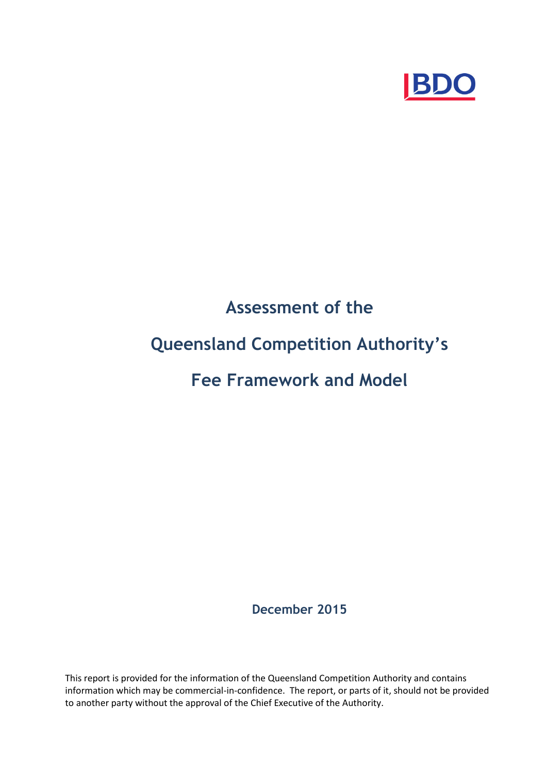

# **Assessment of the Queensland Competition Authority's Fee Framework and Model**

**December 2015** 

This report is provided for the information of the Queensland Competition Authority and contains information which may be commercial-in-confidence. The report, or parts of it, should not be provided to another party without the approval of the Chief Executive of the Authority.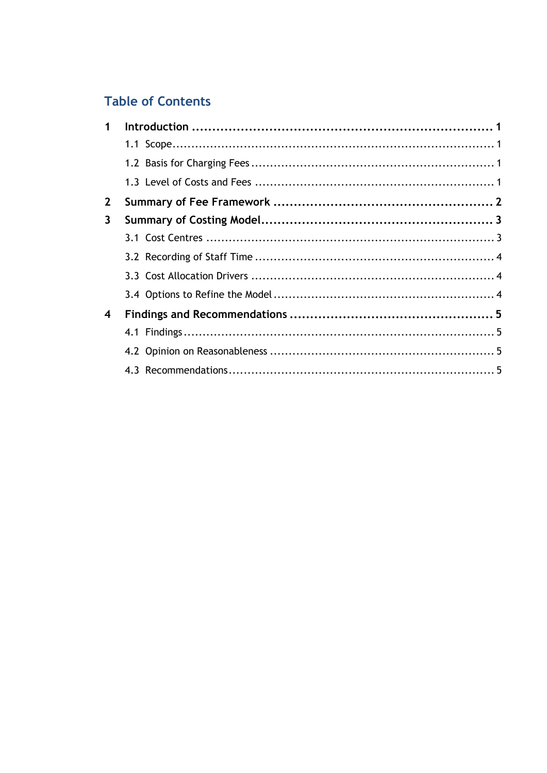# **Table of Contents**

| 1           |  |
|-------------|--|
|             |  |
|             |  |
|             |  |
| $2^{\circ}$ |  |
| 3           |  |
|             |  |
|             |  |
|             |  |
|             |  |
| 4           |  |
|             |  |
|             |  |
|             |  |
|             |  |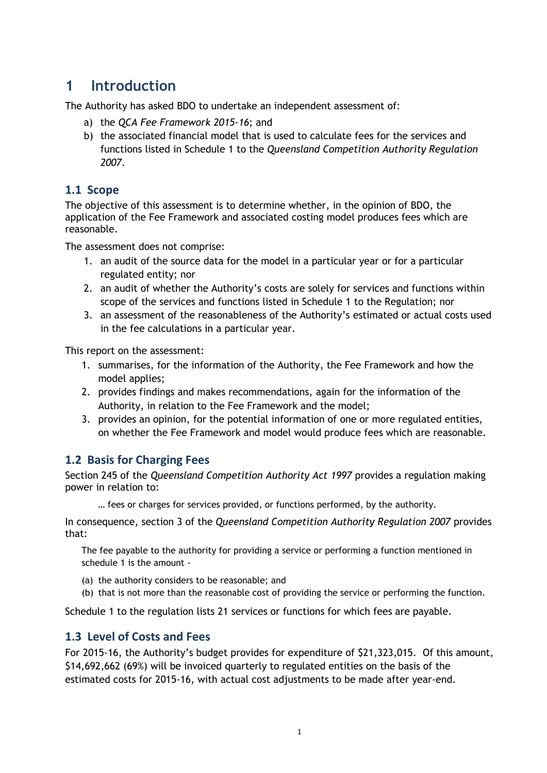# **1 Introduction**

The Authority has asked BDO to undertake an independent assessment of:

- a) the *QCA Fee Framework 2015-16*; and
- b) the associated financial model that is used to calculate fees for the services and functions listed in Schedule 1 to the *Queensland Competition Authority Regulation 2007*.

#### **1.1 Scope**

The objective of this assessment is to determine whether, in the opinion of BDO, the application of the Fee Framework and associated costing model produces fees which are reasonable.

The assessment does not comprise:

- 1. an audit of the source data for the model in a particular year or for a particular regulated entity; nor
- 2. an audit of whether the Authority's costs are solely for services and functions within scope of the services and functions listed in Schedule 1 to the Regulation; nor
- 3. an assessment of the reasonableness of the Authority's estimated or actual costs used in the fee calculations in a particular year.

This report on the assessment:

- 1. summarises, for the information of the Authority, the Fee Framework and how the model applies;
- 2. provides findings and makes recommendations, again for the information of the Authority, in relation to the Fee Framework and the model;
- 3. provides an opinion, for the potential information of one or more regulated entities, on whether the Fee Framework and model would produce fees which are reasonable.

### **1.2 Basis for Charging Fees**

Section 245 of the *Queensland Competition Authority Act 1997* provides a regulation making power in relation to:

… fees or charges for services provided, or functions performed, by the authority.

In consequence, section 3 of the *Queensland Competition Authority Regulation 2007* provides that:

The fee payable to the authority for providing a service or performing a function mentioned in schedule 1 is the amount -

- (a) the authority considers to be reasonable; and
- (b) that is not more than the reasonable cost of providing the service or performing the function.

Schedule 1 to the regulation lists 21 services or functions for which fees are payable.

#### **1.3 Level of Costs and Fees**

For 2015-16, the Authority's budget provides for expenditure of \$21,323,015. Of this amount, \$14,692,662 (69%) will be invoiced quarterly to regulated entities on the basis of the estimated costs for 2015-16, with actual cost adjustments to be made after year-end.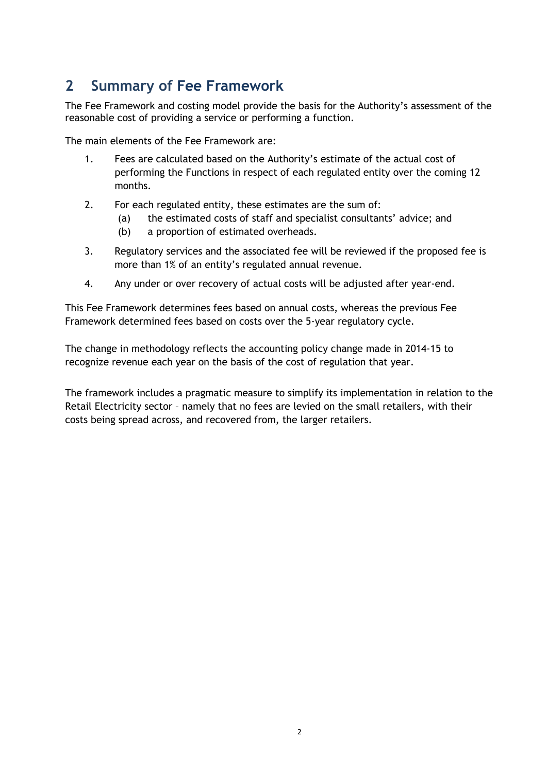# **2 Summary of Fee Framework**

The Fee Framework and costing model provide the basis for the Authority's assessment of the reasonable cost of providing a service or performing a function.

The main elements of the Fee Framework are:

- 1. Fees are calculated based on the Authority's estimate of the actual cost of performing the Functions in respect of each regulated entity over the coming 12 months.
- 2. For each regulated entity, these estimates are the sum of:
	- (a) the estimated costs of staff and specialist consultants' advice; and
	- (b) a proportion of estimated overheads.
- 3. Regulatory services and the associated fee will be reviewed if the proposed fee is more than 1% of an entity's regulated annual revenue.
- 4. Any under or over recovery of actual costs will be adjusted after year-end.

This Fee Framework determines fees based on annual costs, whereas the previous Fee Framework determined fees based on costs over the 5-year regulatory cycle.

The change in methodology reflects the accounting policy change made in 2014-15 to recognize revenue each year on the basis of the cost of regulation that year.

The framework includes a pragmatic measure to simplify its implementation in relation to the Retail Electricity sector – namely that no fees are levied on the small retailers, with their costs being spread across, and recovered from, the larger retailers.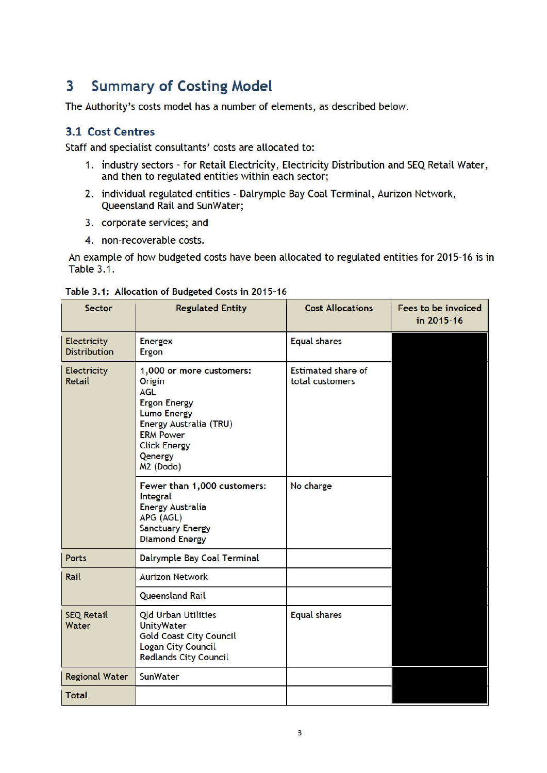#### **Summary of Costing Model** 3

The Authority's costs model has a number of elements, as described below.

#### **3.1 Cost Centres**

Staff and specialist consultants' costs are allocated to:

- 1. industry sectors for Retail Electricity, Electricity Distribution and SEQ Retail Water, and then to regulated entities within each sector;
- 2. individual regulated entities Dalrymple Bay Coal Terminal, Aurizon Network, Queensland Rail and SunWater;
- 3. corporate services; and
- 4. non-recoverable costs.

An example of how budgeted costs have been allocated to regulated entities for 2015-16 is in **Table 3.1.** 

| <b>Sector</b>                      | <b>Regulated Entity</b>                                                                                                                                                                                | <b>Cost Allocations</b>                      | Fees to be invoiced<br>in 2015-16 |
|------------------------------------|--------------------------------------------------------------------------------------------------------------------------------------------------------------------------------------------------------|----------------------------------------------|-----------------------------------|
| Electricity<br><b>Distribution</b> | <b>Energex</b><br>Ergon                                                                                                                                                                                | <b>Equal shares</b>                          |                                   |
| Electricity<br>Retail              | 1,000 or more customers:<br>Origin<br><b>AGL</b><br><b>Ergon Energy</b><br><b>Lumo Energy</b><br>Energy Australia (TRU)<br><b>ERM Power</b><br><b>Click Energy</b><br>Qenergy<br>M <sub>2</sub> (Dodo) | <b>Estimated share of</b><br>total customers |                                   |
|                                    | Fewer than 1,000 customers:<br>Integral<br><b>Energy Australia</b><br>APG (AGL)<br><b>Sanctuary Energy</b><br><b>Diamond Energy</b>                                                                    | No charge                                    |                                   |
| <b>Ports</b>                       | Dalrymple Bay Coal Terminal                                                                                                                                                                            |                                              |                                   |
| Rail                               | <b>Aurizon Network</b>                                                                                                                                                                                 |                                              |                                   |
|                                    | <b>Queensland Rail</b>                                                                                                                                                                                 |                                              |                                   |
| <b>SEQ Retail</b><br>Water         | <b>Qld Urban Utilities</b><br><b>UnityWater</b><br><b>Gold Coast City Council</b><br><b>Logan City Council</b><br><b>Redlands City Council</b>                                                         | <b>Equal shares</b>                          |                                   |
| <b>Regional Water</b>              | <b>SunWater</b>                                                                                                                                                                                        |                                              |                                   |
| <b>Total</b>                       |                                                                                                                                                                                                        |                                              |                                   |

#### Table 3.1: Allocation of Budgeted Costs in 2015-16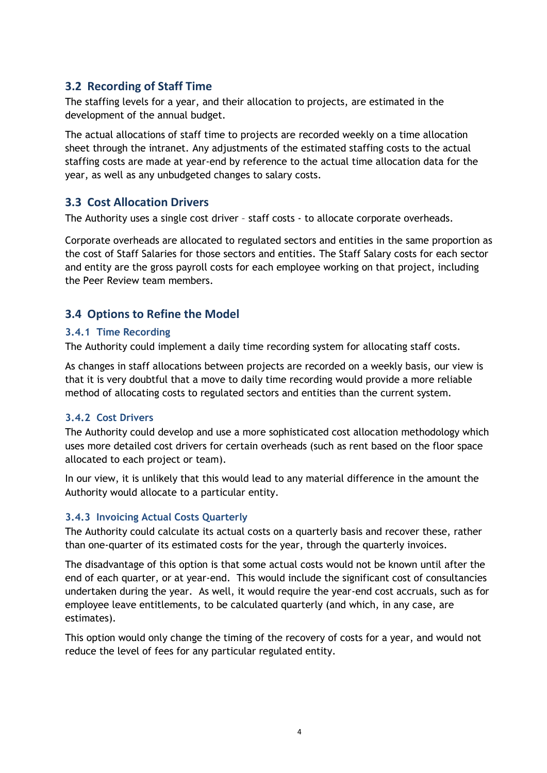#### **3.2 Recording of Staff Time**

The staffing levels for a year, and their allocation to projects, are estimated in the development of the annual budget.

The actual allocations of staff time to projects are recorded weekly on a time allocation sheet through the intranet. Any adjustments of the estimated staffing costs to the actual staffing costs are made at year-end by reference to the actual time allocation data for the year, as well as any unbudgeted changes to salary costs.

#### **3.3 Cost Allocation Drivers**

The Authority uses a single cost driver – staff costs - to allocate corporate overheads.

Corporate overheads are allocated to regulated sectors and entities in the same proportion as the cost of Staff Salaries for those sectors and entities. The Staff Salary costs for each sector and entity are the gross payroll costs for each employee working on that project, including the Peer Review team members.

### **3.4 Options to Refine the Model**

#### **3.4.1 Time Recording**

The Authority could implement a daily time recording system for allocating staff costs.

As changes in staff allocations between projects are recorded on a weekly basis, our view is that it is very doubtful that a move to daily time recording would provide a more reliable method of allocating costs to regulated sectors and entities than the current system.

#### **3.4.2 Cost Drivers**

The Authority could develop and use a more sophisticated cost allocation methodology which uses more detailed cost drivers for certain overheads (such as rent based on the floor space allocated to each project or team).

In our view, it is unlikely that this would lead to any material difference in the amount the Authority would allocate to a particular entity.

#### **3.4.3 Invoicing Actual Costs Quarterly**

The Authority could calculate its actual costs on a quarterly basis and recover these, rather than one-quarter of its estimated costs for the year, through the quarterly invoices.

The disadvantage of this option is that some actual costs would not be known until after the end of each quarter, or at year-end. This would include the significant cost of consultancies undertaken during the year. As well, it would require the year-end cost accruals, such as for employee leave entitlements, to be calculated quarterly (and which, in any case, are estimates).

This option would only change the timing of the recovery of costs for a year, and would not reduce the level of fees for any particular regulated entity.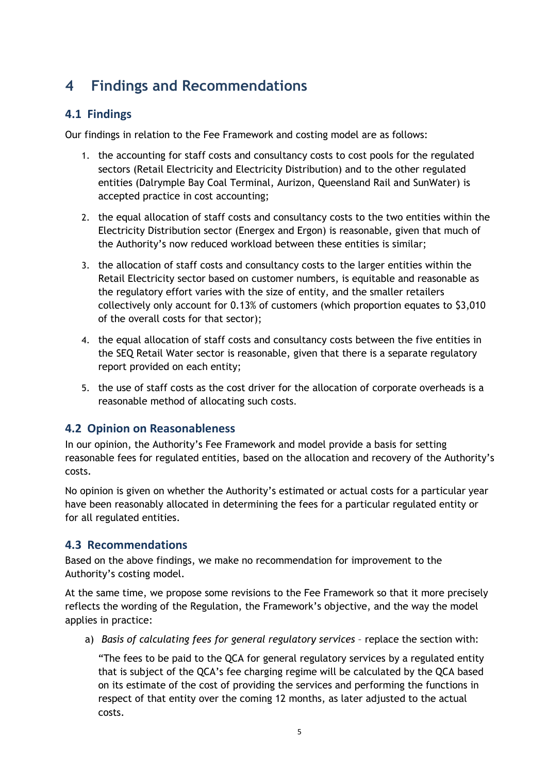# **4 Findings and Recommendations**

### **4.1 Findings**

Our findings in relation to the Fee Framework and costing model are as follows:

- 1. the accounting for staff costs and consultancy costs to cost pools for the regulated sectors (Retail Electricity and Electricity Distribution) and to the other regulated entities (Dalrymple Bay Coal Terminal, Aurizon, Queensland Rail and SunWater) is accepted practice in cost accounting;
- 2. the equal allocation of staff costs and consultancy costs to the two entities within the Electricity Distribution sector (Energex and Ergon) is reasonable, given that much of the Authority's now reduced workload between these entities is similar;
- 3. the allocation of staff costs and consultancy costs to the larger entities within the Retail Electricity sector based on customer numbers, is equitable and reasonable as the regulatory effort varies with the size of entity, and the smaller retailers collectively only account for 0.13% of customers (which proportion equates to \$3,010 of the overall costs for that sector);
- 4. the equal allocation of staff costs and consultancy costs between the five entities in the SEQ Retail Water sector is reasonable, given that there is a separate regulatory report provided on each entity;
- 5. the use of staff costs as the cost driver for the allocation of corporate overheads is a reasonable method of allocating such costs.

### **4.2 Opinion on Reasonableness**

In our opinion, the Authority's Fee Framework and model provide a basis for setting reasonable fees for regulated entities, based on the allocation and recovery of the Authority's costs.

No opinion is given on whether the Authority's estimated or actual costs for a particular year have been reasonably allocated in determining the fees for a particular regulated entity or for all regulated entities.

#### **4.3 Recommendations**

Based on the above findings, we make no recommendation for improvement to the Authority's costing model.

At the same time, we propose some revisions to the Fee Framework so that it more precisely reflects the wording of the Regulation, the Framework's objective, and the way the model applies in practice:

a) *Basis of calculating fees for general regulatory services* – replace the section with:

"The fees to be paid to the QCA for general regulatory services by a regulated entity that is subject of the QCA's fee charging regime will be calculated by the QCA based on its estimate of the cost of providing the services and performing the functions in respect of that entity over the coming 12 months, as later adjusted to the actual costs.